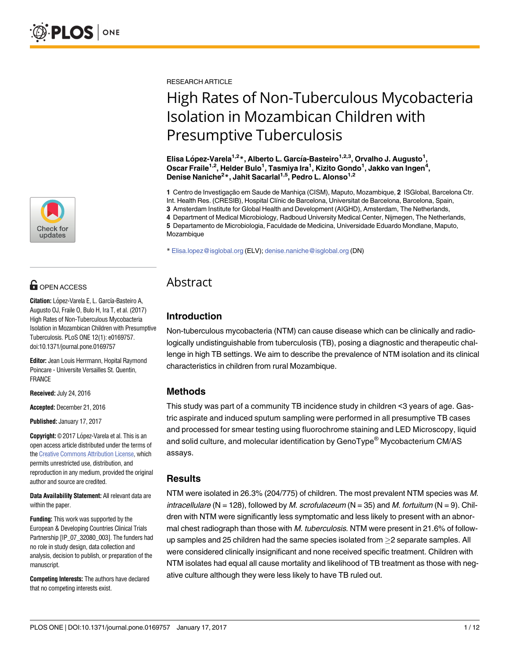

# **OPEN ACCESS**

**Citation:** López-Varela E, L. García-Basteiro A, Augusto OJ, Fraile O, Bulo H, Ira T, et al. (2017) High Rates of Non-Tuberculous Mycobacteria Isolation in Mozambican Children with Presumptive Tuberculosis. PLoS ONE 12(1): e0169757. doi:10.1371/journal.pone.0169757

**Editor:** Jean Louis Herrmann, Hopital Raymond Poincare - Universite Versailles St. Quentin, FRANCE

**Received:** July 24, 2016

**Accepted:** December 21, 2016

**Published:** January 17, 2017

**Copyright:** © 2017 López-Varela et al. This is an open access article distributed under the terms of the Creative [Commons](http://creativecommons.org/licenses/by/4.0/) Attribution License, which permits unrestricted use, distribution, and reproduction in any medium, provided the original author and source are credited.

**Data Availability Statement:** All relevant data are within the paper.

**Funding:** This work was supported by the European & Developing Countries Clinical Trials Partnership [IP\_07\_32080\_003]. The funders had no role in study design, data collection and analysis, decision to publish, or preparation of the manuscript.

**Competing Interests:** The authors have declared that no competing interests exist.

RESEARCH ARTICLE

# High Rates of Non-Tuberculous Mycobacteria Isolation in Mozambican Children with Presumptive Tuberculosis

**Elisa Lo´pez-Varela1,2\*, Alberto L. Garcı´a-Basteiro1,2,3, Orvalho J. Augusto1 , Oscar Fraile1,2, Helder Bulo1 , Tasmiya Ira1 , Kizito Gondo1 , Jakko van Ingen4 , Denise Naniche2 \*, Jahit Sacarlal1,5, Pedro L. Alonso1,2**

**1** Centro de Investigac¸ão em Saude de Manhic¸a (CISM), Maputo, Mozambique, **2** ISGlobal, Barcelona Ctr. Int. Health Res. (CRESIB), Hospital Clínic de Barcelona, Universitat de Barcelona, Barcelona, Spain, **3** Amsterdam Institute for Global Health and Development (AIGHD), Amsterdam, The Netherlands,

**4** Department of Medical Microbiology, Radboud University Medical Center, Nijmegen, The Netherlands, **5** Departamento de Microbiologia, Faculdade de Medicina, Universidade Eduardo Mondlane, Maputo, Mozambique

\* Elisa.lopez@isglobal.org (ELV); denise.naniche@isglobal.org (DN)

# Abstract

# **Introduction**

Non-tuberculous mycobacteria (NTM) can cause disease which can be clinically and radiologically undistinguishable from tuberculosis (TB), posing a diagnostic and therapeutic challenge in high TB settings. We aim to describe the prevalence of NTM isolation and its clinical characteristics in children from rural Mozambique.

# **Methods**

This study was part of a community TB incidence study in children <3 years of age. Gastric aspirate and induced sputum sampling were performed in all presumptive TB cases and processed for smear testing using fluorochrome staining and LED Microscopy, liquid and solid culture, and molecular identification by GenoType® Mycobacterium CM/AS assays.

# **Results**

NTM were isolated in 26.3% (204/775) of children. The most prevalent NTM species was M. intracellulare (N = 128), followed by M. scrofulaceum (N = 35) and M. fortuitum (N = 9). Children with NTM were significantly less symptomatic and less likely to present with an abnormal chest radiograph than those with M. tuberculosis. NTM were present in 21.6% of followup samples and 25 children had the same species isolated from  $\geq$ 2 separate samples. All were considered clinically insignificant and none received specific treatment. Children with NTM isolates had equal all cause mortality and likelihood of TB treatment as those with negative culture although they were less likely to have TB ruled out.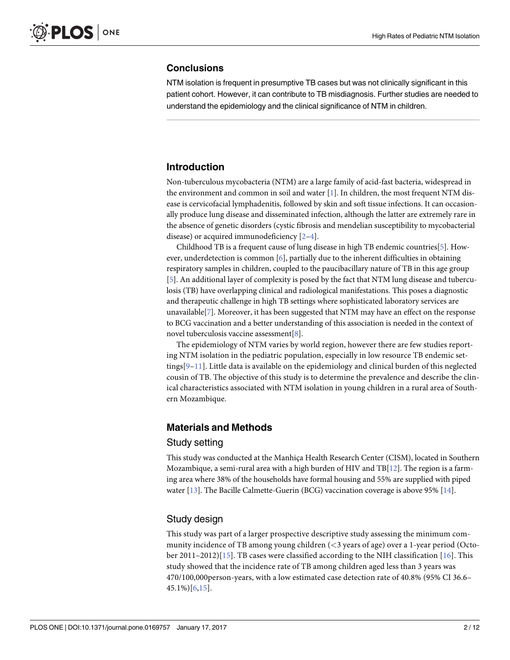## <span id="page-1-0"></span>**Conclusions**

NTM isolation is frequent in presumptive TB cases but was not clinically significant in this patient cohort. However, it can contribute to TB misdiagnosis. Further studies are needed to understand the epidemiology and the clinical significance of NTM in children.

## **Introduction**

Non-tuberculous mycobacteria (NTM) are a large family of acid-fast bacteria, widespread in the environment and common in soil and water  $[1]$ . In children, the most frequent NTM disease is cervicofacial lymphadenitis, followed by skin and soft tissue infections. It can occasionally produce lung disease and disseminated infection, although the latter are extremely rare in the absence of genetic disorders (cystic fibrosis and mendelian susceptibility to mycobacterial disease) or acquired immunodeficiency [[2–4](#page-9-0)].

Childhood TB is a frequent cause of lung disease in high TB endemic countries[\[5](#page-9-0)]. However, underdetection is common [[6\]](#page-9-0), partially due to the inherent difficulties in obtaining respiratory samples in children, coupled to the paucibacillary nature of TB in this age group [\[5](#page-9-0)]. An additional layer of complexity is posed by the fact that NTM lung disease and tuberculosis (TB) have overlapping clinical and radiological manifestations. This poses a diagnostic and therapeutic challenge in high TB settings where sophisticated laboratory services are unavailable[[7](#page-9-0)]. Moreover, it has been suggested that NTM may have an effect on the response to BCG vaccination and a better understanding of this association is needed in the context of novel tuberculosis vaccine assessment[[8](#page-9-0)].

The epidemiology of NTM varies by world region, however there are few studies reporting NTM isolation in the pediatric population, especially in low resource TB endemic settings $[9-11]$ . Little data is available on the epidemiology and clinical burden of this neglected cousin of TB. The objective of this study is to determine the prevalence and describe the clinical characteristics associated with NTM isolation in young children in a rural area of Southern Mozambique.

# **Materials and Methods**

#### Study setting

This study was conducted at the Manhica Health Research Center (CISM), located in Southern Mozambique, a semi-rural area with a high burden of HIV and TB[[12](#page-9-0)]. The region is a farming area where 38% of the households have formal housing and 55% are supplied with piped water [[13](#page-10-0)]. The Bacille Calmette-Guerin (BCG) vaccination coverage is above 95% [\[14\]](#page-10-0).

#### Study design

This study was part of a larger prospective descriptive study assessing the minimum community incidence of TB among young children (*<*3 years of age) over a 1-year period (Octo-ber 2011–2012)[[15\]](#page-10-0). TB cases were classified according to the NIH classification [[16\]](#page-10-0). This study showed that the incidence rate of TB among children aged less than 3 years was 470/100,000person-years, with a low estimated case detection rate of 40.8% (95% CI 36.6–  $45.1\%$  [[6,](#page-9-0)[15\]](#page-10-0).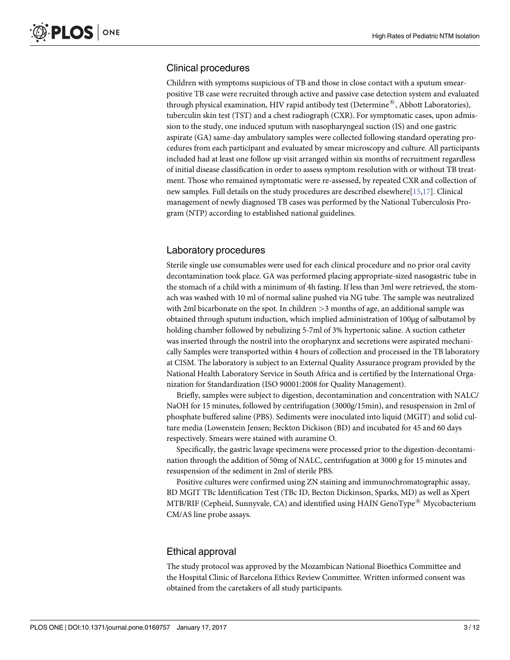#### <span id="page-2-0"></span>Clinical procedures

Children with symptoms suspicious of TB and those in close contact with a sputum smearpositive TB case were recruited through active and passive case detection system and evaluated through physical examination, HIV rapid antibody test (Determine<sup>®</sup>, Abbott Laboratories), tuberculin skin test (TST) and a chest radiograph (CXR). For symptomatic cases, upon admission to the study, one induced sputum with nasopharyngeal suction (IS) and one gastric aspirate (GA) same-day ambulatory samples were collected following standard operating procedures from each participant and evaluated by smear microscopy and culture. All participants included had at least one follow up visit arranged within six months of recruitment regardless of initial disease classification in order to assess symptom resolution with or without TB treatment. Those who remained symptomatic were re-assessed, by repeated CXR and collection of new samples. Full details on the study procedures are described elsewhere[[15,17\]](#page-10-0). Clinical management of newly diagnosed TB cases was performed by the National Tuberculosis Program (NTP) according to established national guidelines.

#### Laboratory procedures

Sterile single use consumables were used for each clinical procedure and no prior oral cavity decontamination took place. GA was performed placing appropriate-sized nasogastric tube in the stomach of a child with a minimum of 4h fasting. If less than 3ml were retrieved, the stomach was washed with 10 ml of normal saline pushed via NG tube. The sample was neutralized with 2ml bicarbonate on the spot. In children *>*3 months of age, an additional sample was obtained through sputum induction, which implied administration of 100μg of salbutamol by holding chamber followed by nebulizing 5-7ml of 3% hypertonic saline. A suction catheter was inserted through the nostril into the oropharynx and secretions were aspirated mechanically Samples were transported within 4 hours of collection and processed in the TB laboratory at CISM. The laboratory is subject to an External Quality Assurance program provided by the National Health Laboratory Service in South Africa and is certified by the International Organization for Standardization (ISO 90001:2008 for Quality Management).

Briefly, samples were subject to digestion, decontamination and concentration with NALC/ NaOH for 15 minutes, followed by centrifugation (3000g/15min), and resuspension in 2ml of phosphate buffered saline (PBS). Sediments were inoculated into liquid (MGIT) and solid culture media (Lowenstein Jensen; Beckton Dickison (BD) and incubated for 45 and 60 days respectively. Smears were stained with auramine O.

Specifically, the gastric lavage specimens were processed prior to the digestion-decontamination through the addition of 50mg of NALC, centrifugation at 3000 g for 15 minutes and resuspension of the sediment in 2ml of sterile PBS.

Positive cultures were confirmed using ZN staining and immunochromatographic assay, BD MGIT TBc Identification Test (TBc ID, Becton Dickinson, Sparks, MD) as well as Xpert MTB/RIF (Cepheid, Sunnyvale, CA) and identified using HAIN GenoType<sup> $\mathfrak{B}$ </sup> Mycobacterium CM/AS line probe assays.

#### Ethical approval

The study protocol was approved by the Mozambican National Bioethics Committee and the Hospital Clinic of Barcelona Ethics Review Committee. Written informed consent was obtained from the caretakers of all study participants.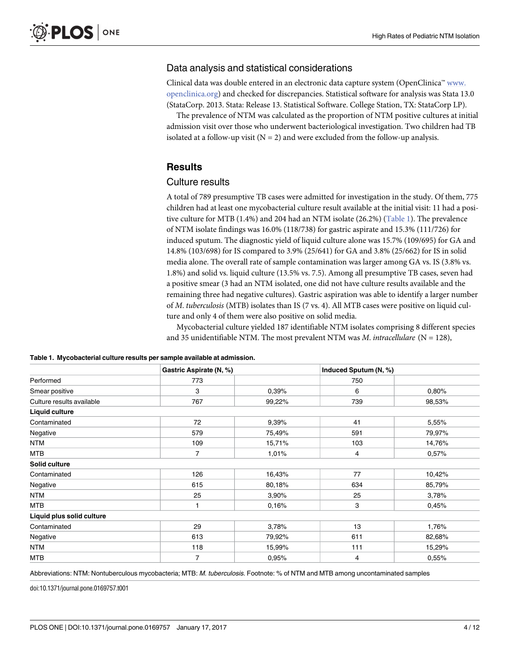#### Data analysis and statistical considerations

Clinical data was double entered in an electronic data capture system (OpenClinica™ [www.](http://www.openclinica.org) [openclinica.org\)](http://www.openclinica.org) and checked for discrepancies. Statistical software for analysis was Stata 13.0 (StataCorp. 2013. Stata: Release 13. Statistical Software. College Station, TX: StataCorp LP).

The prevalence of NTM was calculated as the proportion of NTM positive cultures at initial admission visit over those who underwent bacteriological investigation. Two children had TB isolated at a follow-up visit  $(N = 2)$  and were excluded from the follow-up analysis.

## **Results**

#### Culture results

A total of 789 presumptive TB cases were admitted for investigation in the study. Of them, 775 children had at least one mycobacterial culture result available at the initial visit: 11 had a positive culture for MTB (1.4%) and 204 had an NTM isolate (26.2%) (Table 1). The prevalence of NTM isolate findings was 16.0% (118/738) for gastric aspirate and 15.3% (111/726) for induced sputum. The diagnostic yield of liquid culture alone was 15.7% (109/695) for GA and 14.8% (103/698) for IS compared to 3.9% (25/641) for GA and 3.8% (25/662) for IS in solid media alone. The overall rate of sample contamination was larger among GA vs. IS (3.8% vs. 1.8%) and solid vs. liquid culture (13.5% vs. 7.5). Among all presumptive TB cases, seven had a positive smear (3 had an NTM isolated, one did not have culture results available and the remaining three had negative cultures). Gastric aspiration was able to identify a larger number of *M*. *tuberculosis* (MTB) isolates than IS (7 vs. 4). All MTB cases were positive on liquid culture and only 4 of them were also positive on solid media.

Mycobacterial culture yielded 187 identifiable NTM isolates comprising 8 different species and 35 unidentifiable NTM. The most prevalent NTM was *M*. *intracellulare* (N = 128),

|                           | Gastric Aspirate (N, %) |        |     | Induced Sputum (N, %) |
|---------------------------|-------------------------|--------|-----|-----------------------|
| Performed                 | 773                     |        | 750 |                       |
| Smear positive            | 3                       | 0,39%  | 6   | 0,80%                 |
| Culture results available | 767                     | 99,22% | 739 | 98,53%                |
| <b>Liquid culture</b>     |                         |        |     |                       |
| Contaminated              | 72                      | 9,39%  | 41  | 5,55%                 |
| Negative                  | 579                     | 75,49% | 591 | 79,97%                |
| <b>NTM</b>                | 109                     | 15,71% | 103 | 14,76%                |
| <b>MTB</b>                | 7                       | 1,01%  | 4   | 0,57%                 |
| Solid culture             |                         |        |     |                       |
| Contaminated              | 126                     | 16,43% | 77  | 10,42%                |
| Negative                  | 615                     | 80,18% | 634 | 85,79%                |
| <b>NTM</b>                | 25                      | 3,90%  | 25  | 3,78%                 |
| <b>MTB</b>                |                         | 0,16%  | 3   | 0,45%                 |
| Liquid plus solid culture |                         |        |     |                       |
| Contaminated              | 29                      | 3,78%  | 13  | 1,76%                 |
| Negative                  | 613                     | 79,92% | 611 | 82,68%                |
| <b>NTM</b>                | 118                     | 15,99% | 111 | 15,29%                |
| <b>MTB</b>                | 7                       | 0,95%  | 4   | 0,55%                 |

**Table 1. Mycobacterial culture results per sample available at admission.**

Abbreviations: NTM: Nontuberculous mycobacteria; MTB: M. tuberculosis. Footnote: % of NTM and MTB among uncontaminated samples

doi:10.1371/journal.pone.0169757.t001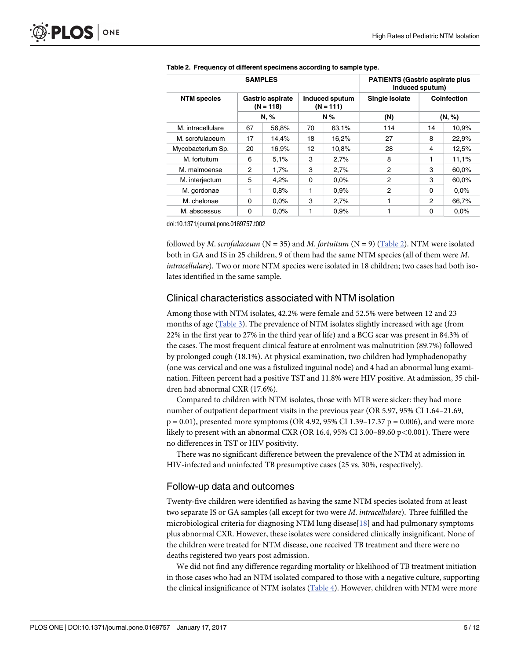| <b>SAMPLES</b>     |                                        |         |                               |         | <b>PATIENTS (Gastric aspirate plus</b><br>induced sputum) |             |        |  |
|--------------------|----------------------------------------|---------|-------------------------------|---------|-----------------------------------------------------------|-------------|--------|--|
| <b>NTM</b> species | <b>Gastric aspirate</b><br>$(N = 118)$ |         | Induced sputum<br>$(N = 111)$ |         | Single isolate                                            | Coinfection |        |  |
|                    |                                        | N, %    | $N\%$                         |         | (N)                                                       |             | (N, %) |  |
| M. intracellulare  | 67                                     | 56,8%   | 70                            | 63,1%   | 114                                                       | 14          | 10.9%  |  |
| M. scrofulaceum    | 17                                     | 14,4%   | 18                            | 16,2%   | 27                                                        | 8           | 22,9%  |  |
| Mycobacterium Sp.  | 20                                     | 16,9%   | 12                            | 10.8%   | 28                                                        | 4           | 12.5%  |  |
| M. fortuitum       | 6                                      | 5.1%    | 3                             | 2,7%    | 8                                                         | 1           | 11,1%  |  |
| M. malmoense       | 2                                      | 1.7%    | 3                             | 2,7%    | 2                                                         | 3           | 60.0%  |  |
| M. interjectum     | 5                                      | 4,2%    | 0                             | $0.0\%$ | $\overline{2}$                                            | 3           | 60,0%  |  |
| M. gordonae        |                                        | 0.8%    |                               | 0.9%    | 2                                                         | 0           | 0.0%   |  |
| M. chelonae        | $\Omega$                               | $0.0\%$ | 3                             | 2,7%    | 1                                                         | 2           | 66.7%  |  |
| M. abscessus       | 0                                      | $0.0\%$ |                               | 0.9%    |                                                           | 0           | 0.0%   |  |

<span id="page-4-0"></span>

|  |  |  |  |  | Table 2. Frequency of different specimens according to sample type. |
|--|--|--|--|--|---------------------------------------------------------------------|
|--|--|--|--|--|---------------------------------------------------------------------|

doi:10.1371/journal.pone.0169757.t002

followed by *M*. *scrofulaceum* (N = 35) and *M*. *fortuitum* (N = 9) (Table 2). NTM were isolated both in GA and IS in 25 children, 9 of them had the same NTM species (all of them were *M*. *intracellulare*). Two or more NTM species were isolated in 18 children; two cases had both isolates identified in the same sample.

#### Clinical characteristics associated with NTM isolation

Among those with NTM isolates, 42.2% were female and 52.5% were between 12 and 23 months of age ([Table](#page-5-0) 3). The prevalence of NTM isolates slightly increased with age (from 22% in the first year to 27% in the third year of life) and a BCG scar was present in 84.3% of the cases. The most frequent clinical feature at enrolment was malnutrition (89.7%) followed by prolonged cough (18.1%). At physical examination, two children had lymphadenopathy (one was cervical and one was a fistulized inguinal node) and 4 had an abnormal lung examination. Fifteen percent had a positive TST and 11.8% were HIV positive. At admission, 35 children had abnormal CXR (17.6%).

Compared to children with NTM isolates, those with MTB were sicker: they had more number of outpatient department visits in the previous year (OR 5.97, 95% CI 1.64–21.69,  $p = 0.01$ ), presented more symptoms (OR 4.92, 95% CI 1.39–17.37 p = 0.006), and were more likely to present with an abnormal CXR (OR 16.4, 95% CI 3.00–89.60 p*<*0.001). There were no differences in TST or HIV positivity.

There was no significant difference between the prevalence of the NTM at admission in HIV-infected and uninfected TB presumptive cases (25 vs. 30%, respectively).

#### Follow-up data and outcomes

Twenty-five children were identified as having the same NTM species isolated from at least two separate IS or GA samples (all except for two were *M*. *intracellulare*). Three fulfilled the microbiological criteria for diagnosing NTM lung disease[[18](#page-10-0)] and had pulmonary symptoms plus abnormal CXR. However, these isolates were considered clinically insignificant. None of the children were treated for NTM disease, one received TB treatment and there were no deaths registered two years post admission.

We did not find any difference regarding mortality or likelihood of TB treatment initiation in those cases who had an NTM isolated compared to those with a negative culture, supporting the clinical insignificance of NTM isolates [\(Table](#page-6-0) 4). However, children with NTM were more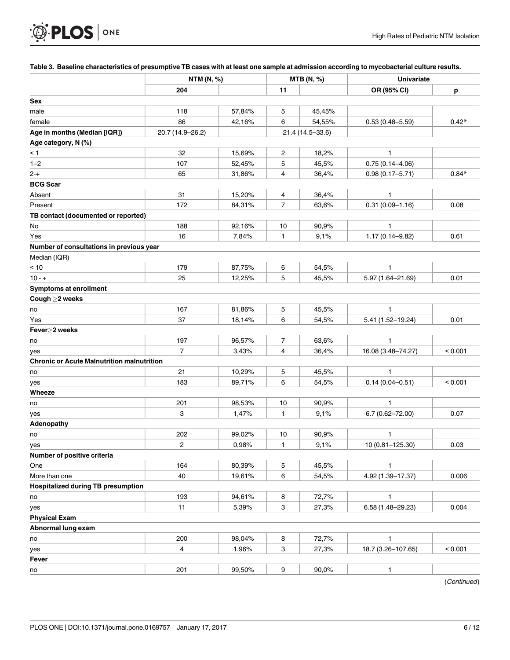<span id="page-5-0"></span>

|                                                   | <b>NTM (N, %)</b> |        | MTB (N, %) |                  | Univariate          |         |  |
|---------------------------------------------------|-------------------|--------|------------|------------------|---------------------|---------|--|
|                                                   | 204               |        | 11         |                  | OR (95% CI)         | р       |  |
| Sex                                               |                   |        |            |                  |                     |         |  |
| male                                              | 118               | 57,84% | 5          | 45,45%           |                     |         |  |
| female                                            | 86                | 42,16% | 6          | 54,55%           | $0.53(0.48 - 5.59)$ | $0.42*$ |  |
| Age in months (Median [IQR])                      | 20.7 (14.9-26.2)  |        |            | 21.4 (14.5-33.6) |                     |         |  |
| Age category, N (%)                               |                   |        |            |                  |                     |         |  |
| < 1                                               | 32                | 15,69% | 2          | 18,2%            | $\mathbf{1}$        |         |  |
| $1 - 2$                                           | 107               | 52,45% | 5          | 45,5%            | $0.75(0.14 - 4.06)$ |         |  |
| $2 - +$                                           | 65                | 31,86% | 4          | 36,4%            | $0.98(0.17 - 5.71)$ | $0.84*$ |  |
| <b>BCG Scar</b>                                   |                   |        |            |                  |                     |         |  |
| Absent                                            | 31                | 15,20% | 4          | 36,4%            | 1                   |         |  |
| Present                                           | 172               | 84,31% | 7          | 63,6%            | $0.31(0.09 - 1.16)$ | 0.08    |  |
| TB contact (documented or reported)               |                   |        |            |                  |                     |         |  |
| No                                                | 188               | 92,16% | 10         | 90,9%            | 1                   |         |  |
| Yes                                               | 16                | 7,84%  | 1          | 9,1%             | $1.17(0.14 - 9.82)$ | 0.61    |  |
| Number of consultations in previous year          |                   |        |            |                  |                     |         |  |
| Median (IQR)                                      |                   |        |            |                  |                     |         |  |
| < 10                                              | 179               | 87,75% | 6          | 54,5%            | $\mathbf{1}$        |         |  |
| $10 - +$                                          | 25                | 12,25% | 5          | 45,5%            | 5.97 (1.64-21.69)   | 0.01    |  |
| <b>Symptoms at enrollment</b>                     |                   |        |            |                  |                     |         |  |
| Cough ≥2 weeks                                    |                   |        |            |                  |                     |         |  |
| no                                                | 167               | 81,86% | 5          | 45,5%            | $\mathbf{1}$        |         |  |
| Yes                                               | 37                | 18,14% | 6          | 54,5%            | 5.41 (1.52-19.24)   | 0.01    |  |
| Fever>2 weeks                                     |                   |        |            |                  |                     |         |  |
| no                                                | 197               | 96,57% | 7          | 63,6%            | 1                   |         |  |
| yes                                               | $\overline{7}$    | 3,43%  | 4          | 36,4%            | 16.08 (3.48-74.27)  | < 0.001 |  |
| <b>Chronic or Acute Malnutrition malnutrition</b> |                   |        |            |                  |                     |         |  |
| no                                                | 21                | 10,29% | 5          | 45,5%            | 1                   |         |  |
| yes                                               | 183               | 89,71% | 6          | 54,5%            | $0.14(0.04 - 0.51)$ | < 0.001 |  |
| Wheeze                                            |                   |        |            |                  |                     |         |  |
| no                                                | 201               | 98,53% | 10         | 90,9%            | $\mathbf{1}$        |         |  |
| yes                                               | 3                 | 1,47%  | 1          | 9,1%             | $6.7(0.62 - 72.00)$ | 0.07    |  |
| Adenopathy                                        |                   |        |            |                  |                     |         |  |
| no                                                | 202               | 99,02% | 10         | 90,9%            | 1                   |         |  |
| yes                                               | 2                 | 0,98%  | 1          | 9,1%             | 10 (0.81-125.30)    | 0.03    |  |
| Number of positive criteria                       |                   |        |            |                  |                     |         |  |
| One                                               | 164               | 80,39% | 5          | 45,5%            | 1                   |         |  |
| More than one                                     | 40                | 19,61% | 6          | 54,5%            | 4.92 (1.39-17.37)   | 0.006   |  |
| <b>Hospitalized during TB presumption</b>         |                   |        |            |                  |                     |         |  |
| no                                                | 193               | 94,61% | 8          | 72,7%            | 1                   |         |  |
| yes                                               | 11                | 5,39%  | 3          | 27,3%            | 6.58 (1.48-29.23)   | 0.004   |  |
| <b>Physical Exam</b>                              |                   |        |            |                  |                     |         |  |
| Abnormal lung exam                                |                   |        |            |                  |                     |         |  |
| no                                                | 200               | 98,04% | 8          | 72,7%            | $\mathbf{1}$        |         |  |
| yes                                               | 4                 | 1,96%  | 3          | 27,3%            | 18.7 (3.26-107.65)  | < 0.001 |  |
| Fever                                             |                   |        |            |                  |                     |         |  |
| no                                                | 201               | 99,50% | 9          | 90,0%            | 1                   |         |  |
|                                                   |                   |        |            |                  |                     |         |  |

#### [Table](#page-4-0) 3. Baseline characteristics of presumptive TB cases with at least one sample at admission according to mycobacterial culture results.

(Continued)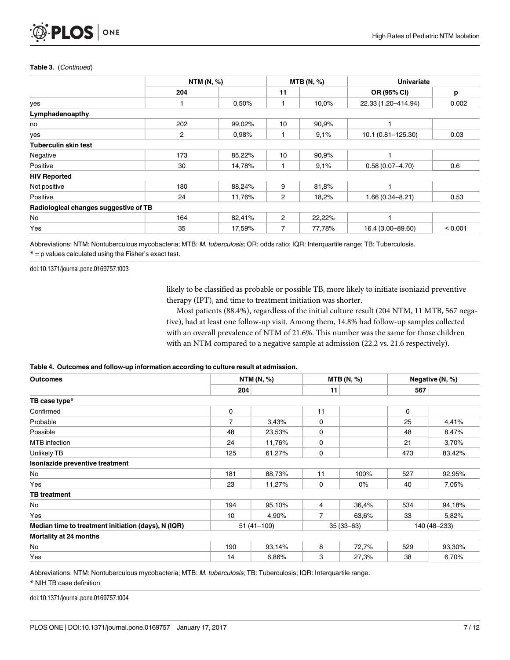#### <span id="page-6-0"></span>**Table 3.** (Continued)

|                                       | NTM $(N, %)$   |        | MTB(N, %) |        | <b>Univariate</b>   |         |
|---------------------------------------|----------------|--------|-----------|--------|---------------------|---------|
|                                       | 204            |        | 11        |        | OR (95% CI)         | p       |
| yes                                   |                | 0,50%  |           | 10,0%  | 22.33 (1.20-414.94) | 0.002   |
| Lymphadenoapthy                       |                |        |           |        |                     |         |
| no                                    | 202            | 99,02% | 10        | 90,9%  |                     |         |
| yes                                   | $\overline{2}$ | 0,98%  |           | 9,1%   | 10.1 (0.81-125.30)  | 0.03    |
| <b>Tuberculin skin test</b>           |                |        |           |        |                     |         |
| Negative                              | 173            | 85,22% | 10        | 90,9%  |                     |         |
| Positive                              | 30             | 14,78% |           | 9,1%   | $0.58(0.07 - 4.70)$ | 0.6     |
| <b>HIV Reported</b>                   |                |        |           |        |                     |         |
| Not positive                          | 180            | 88,24% | 9         | 81,8%  |                     |         |
| Positive                              | 24             | 11,76% | 2         | 18,2%  | $1.66(0.34 - 8.21)$ | 0.53    |
| Radiological changes suggestive of TB |                |        |           |        |                     |         |
| No                                    | 164            | 82,41% | 2         | 22,22% |                     |         |
| Yes                                   | 35             | 17,59% | 7         | 77,78% | 16.4 (3.00-89.60)   | < 0.001 |

Abbreviations: NTM: Nontuberculous mycobacteria; MTB: M. tuberculosis; OR: odds ratio; IQR: Interquartile range; TB: Tuberculosis.  $* = p$  values calculated using the Fisher's exact test.

doi:10.1371/journal.pone.0169757.t003

likely to be classified as probable or possible TB, more likely to initiate isoniazid preventive therapy (IPT), and time to treatment initiation was shorter.

Most patients (88.4%), regardless of the initial culture result (204 NTM, 11 MTB, 567 negative), had at least one follow-up visit. Among them, 14.8% had follow-up samples collected with an overall prevalence of NTM of 21.6%. This number was the same for those children with an NTM compared to a negative sample at admission (22.2 vs. 21.6 respectively).

#### **[Table](#page-4-0) 4. Outcomes and follow-up information according to culture result at admission.**

| <b>Outcomes</b>                                     | NTM $(N, %)$ |        | MTB(N, %)     |       | Negative (N, %) |        |
|-----------------------------------------------------|--------------|--------|---------------|-------|-----------------|--------|
|                                                     | 204          |        | 11            |       | 567             |        |
| TB case type*                                       |              |        |               |       |                 |        |
| Confirmed                                           | 0            |        | 11            |       | 0               |        |
| Probable                                            | 7            | 3,43%  | 0             |       | 25              | 4,41%  |
| Possible                                            | 48           | 23,53% | 0             |       | 48              | 8,47%  |
| <b>MTB</b> infection                                | 24           | 11,76% | 0             |       | 21              | 3,70%  |
| Unlikely TB                                         | 125          | 61,27% | 0             |       | 473             | 83,42% |
| Isoniazide preventive treatment                     |              |        |               |       |                 |        |
| No                                                  | 181          | 88,73% | 11            | 100%  | 527             | 92,95% |
| Yes                                                 | 23           | 11,27% | 0             | 0%    | 40              | 7,05%  |
| <b>TB</b> treatment                                 |              |        |               |       |                 |        |
| No                                                  | 194          | 95,10% | 4             | 36,4% | 534             | 94,18% |
| Yes                                                 | 10           | 4,90%  | 7             | 63,6% | 33              | 5,82%  |
| Median time to treatment initiation (days), N (IQR) | $51(41-100)$ |        | $35(33 - 63)$ |       | 140 (48-233)    |        |
| Mortality at 24 months                              |              |        |               |       |                 |        |
| No                                                  | 190          | 93,14% | 8             | 72,7% | 529             | 93,30% |
| Yes                                                 | 14           | 6,86%  | 3             | 27,3% | 38              | 6,70%  |

Abbreviations: NTM: Nontuberculous mycobacteria; MTB: M. tuberculosis; TB: Tuberculosis; IQR: Interquartile range.

\* NIH TB case definition

doi:10.1371/journal.pone.0169757.t004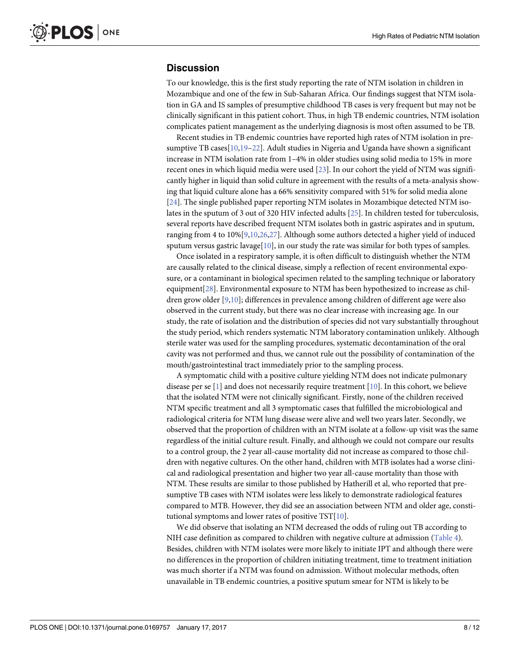## <span id="page-7-0"></span>**Discussion**

To our knowledge, this is the first study reporting the rate of NTM isolation in children in Mozambique and one of the few in Sub-Saharan Africa. Our findings suggest that NTM isolation in GA and IS samples of presumptive childhood TB cases is very frequent but may not be clinically significant in this patient cohort. Thus, in high TB endemic countries, NTM isolation complicates patient management as the underlying diagnosis is most often assumed to be TB.

Recent studies in TB endemic countries have reported high rates of NTM isolation in presumptive TB cases[\[10](#page-9-0)[,19–22](#page-10-0)]. Adult studies in Nigeria and Uganda have shown a significant increase in NTM isolation rate from 1–4% in older studies using solid media to 15% in more recent ones in which liquid media were used [\[23\]](#page-10-0). In our cohort the yield of NTM was significantly higher in liquid than solid culture in agreement with the results of a meta-analysis showing that liquid culture alone has a 66% sensitivity compared with 51% for solid media alone [\[24\]](#page-10-0). The single published paper reporting NTM isolates in Mozambique detected NTM isolates in the sputum of 3 out of 320 HIV infected adults [[25](#page-10-0)]. In children tested for tuberculosis, several reports have described frequent NTM isolates both in gastric aspirates and in sputum, ranging from 4 to 10%[[9,10](#page-9-0),[26,27\]](#page-10-0). Although some authors detected a higher yield of induced sputum versus gastric lavage $[10]$ , in our study the rate was similar for both types of samples.

Once isolated in a respiratory sample, it is often difficult to distinguish whether the NTM are causally related to the clinical disease, simply a reflection of recent environmental exposure, or a contaminant in biological specimen related to the sampling technique or laboratory equipment[[28](#page-10-0)]. Environmental exposure to NTM has been hypothesized to increase as children grow older [[9,10](#page-9-0)]; differences in prevalence among children of different age were also observed in the current study, but there was no clear increase with increasing age. In our study, the rate of isolation and the distribution of species did not vary substantially throughout the study period, which renders systematic NTM laboratory contamination unlikely. Although sterile water was used for the sampling procedures, systematic decontamination of the oral cavity was not performed and thus, we cannot rule out the possibility of contamination of the mouth/gastrointestinal tract immediately prior to the sampling process.

A symptomatic child with a positive culture yielding NTM does not indicate pulmonary disease per se [[1\]](#page-9-0) and does not necessarily require treatment [[10](#page-9-0)]. In this cohort, we believe that the isolated NTM were not clinically significant. Firstly, none of the children received NTM specific treatment and all 3 symptomatic cases that fulfilled the microbiological and radiological criteria for NTM lung disease were alive and well two years later. Secondly, we observed that the proportion of children with an NTM isolate at a follow-up visit was the same regardless of the initial culture result. Finally, and although we could not compare our results to a control group, the 2 year all-cause mortality did not increase as compared to those children with negative cultures. On the other hand, children with MTB isolates had a worse clinical and radiological presentation and higher two year all-cause mortality than those with NTM. These results are similar to those published by Hatherill et al, who reported that presumptive TB cases with NTM isolates were less likely to demonstrate radiological features compared to MTB. However, they did see an association between NTM and older age, constitutional symptoms and lower rates of positive TST[[10](#page-9-0)].

We did observe that isolating an NTM decreased the odds of ruling out TB according to NIH case definition as compared to children with negative culture at admission [\(Table](#page-6-0) 4). Besides, children with NTM isolates were more likely to initiate IPT and although there were no differences in the proportion of children initiating treatment, time to treatment initiation was much shorter if a NTM was found on admission. Without molecular methods, often unavailable in TB endemic countries, a positive sputum smear for NTM is likely to be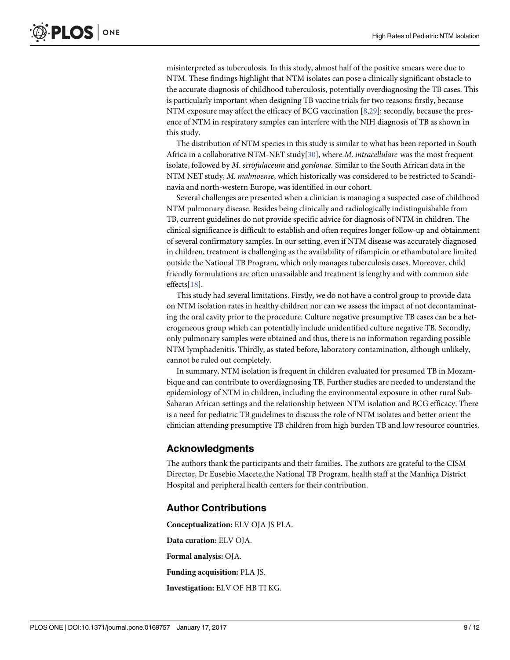<span id="page-8-0"></span>misinterpreted as tuberculosis. In this study, almost half of the positive smears were due to NTM. These findings highlight that NTM isolates can pose a clinically significant obstacle to the accurate diagnosis of childhood tuberculosis, potentially overdiagnosing the TB cases. This is particularly important when designing TB vaccine trials for two reasons: firstly, because NTM exposure may affect the efficacy of BCG vaccination [\[8](#page-9-0)[,29\]](#page-11-0); secondly, because the presence of NTM in respiratory samples can interfere with the NIH diagnosis of TB as shown in this study.

The distribution of NTM species in this study is similar to what has been reported in South Africa in a collaborative NTM-NET study[[30](#page-11-0)], where *M*. *intracellulare* was the most frequent isolate, followed by *M*. *scrofulaceum* and *gordonae*. Similar to the South African data in the NTM NET study, *M*. *malmoense*, which historically was considered to be restricted to Scandinavia and north-western Europe, was identified in our cohort.

Several challenges are presented when a clinician is managing a suspected case of childhood NTM pulmonary disease. Besides being clinically and radiologically indistinguishable from TB, current guidelines do not provide specific advice for diagnosis of NTM in children. The clinical significance is difficult to establish and often requires longer follow-up and obtainment of several confirmatory samples. In our setting, even if NTM disease was accurately diagnosed in children, treatment is challenging as the availability of rifampicin or ethambutol are limited outside the National TB Program, which only manages tuberculosis cases. Moreover, child friendly formulations are often unavailable and treatment is lengthy and with common side effects[\[18\]](#page-10-0).

This study had several limitations. Firstly, we do not have a control group to provide data on NTM isolation rates in healthy children nor can we assess the impact of not decontaminating the oral cavity prior to the procedure. Culture negative presumptive TB cases can be a heterogeneous group which can potentially include unidentified culture negative TB. Secondly, only pulmonary samples were obtained and thus, there is no information regarding possible NTM lymphadenitis. Thirdly, as stated before, laboratory contamination, although unlikely, cannot be ruled out completely.

In summary, NTM isolation is frequent in children evaluated for presumed TB in Mozambique and can contribute to overdiagnosing TB. Further studies are needed to understand the epidemiology of NTM in children, including the environmental exposure in other rural Sub-Saharan African settings and the relationship between NTM isolation and BCG efficacy. There is a need for pediatric TB guidelines to discuss the role of NTM isolates and better orient the clinician attending presumptive TB children from high burden TB and low resource countries.

#### **Acknowledgments**

The authors thank the participants and their families. The authors are grateful to the CISM Director, Dr Eusebio Macete, the National TB Program, health staff at the Manhica District Hospital and peripheral health centers for their contribution.

#### **Author Contributions**

**Conceptualization:** ELV OJA JS PLA. **Data curation:** ELV OJA. **Formal analysis:** OJA. **Funding acquisition:** PLA JS. **Investigation:** ELV OF HB TI KG.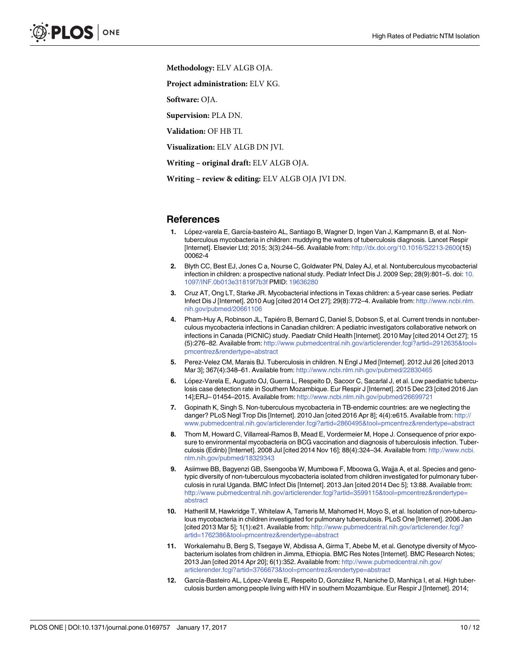<span id="page-9-0"></span>**Methodology:** ELV ALGB OJA.

**Project administration:** ELV KG.

**Software:** OJA.

**Supervision:** PLA DN.

**Validation:** OF HB TI.

**Visualization:** ELV ALGB DN JVI.

**Writing – original draft:** ELV ALGB OJA.

**Writing – review & editing:** ELV ALGB OJA JVI DN.

#### **References**

- **[1](#page-1-0).** López-varela E, García-basteiro AL, Santiago B, Wagner D, Ingen Van J, Kampmann B, et al. Nontuberculous mycobacteria in children: muddying the waters of tuberculosis diagnosis. Lancet Respir [Internet]. Elsevier Ltd; 2015; 3(3):244–56. Available from: <http://dx.doi.org/10.1016/S2213-2600>(15) 00062-4
- **[2](#page-1-0).** Blyth CC, Best EJ, Jones C a, Nourse C, Goldwater PN, Daley AJ, et al. Nontuberculous mycobacterial infection in children: a prospective national study. Pediatr Infect Dis J. 2009 Sep; 28(9):801–5. doi: [10.](http://dx.doi.org/10.1097/INF.0b013e31819f7b3f) [1097/INF.0b013e31819f7b3f](http://dx.doi.org/10.1097/INF.0b013e31819f7b3f) PMID: [19636280](http://www.ncbi.nlm.nih.gov/pubmed/19636280)
- **3.** Cruz AT, Ong LT, Starke JR. Mycobacterial infections in Texas children: a 5-year case series. Pediatr Infect Dis J [Internet]. 2010 Aug [cited 2014 Oct 27]; 29(8):772–4. Available from: [http://www.ncbi.nlm.](http://www.ncbi.nlm.nih.gov/pubmed/20661106) [nih.gov/pubmed/20661106](http://www.ncbi.nlm.nih.gov/pubmed/20661106)
- **[4](#page-1-0).** Pham-Huy A, Robinson JL, Tapie´ro B, Bernard C, Daniel S, Dobson S, et al. Current trends in nontuberculous mycobacteria infections in Canadian children: A pediatric investigators collaborative network on infections in Canada (PICNIC) study. Paediatr Child Health [Internet]. 2010 May [cited 2014 Oct 27]; 15 (5):276–82. Available from: [http://www.pubmedcentral.nih.gov/articlerender.fcgi?artid=2912635&tool=](http://www.pubmedcentral.nih.gov/articlerender.fcgi?artid=2912635&tool=pmcentrez&rendertype=abstract) [pmcentrez&rendertype=abstract](http://www.pubmedcentral.nih.gov/articlerender.fcgi?artid=2912635&tool=pmcentrez&rendertype=abstract)
- **[5](#page-1-0).** Perez-Velez CM, Marais BJ. Tuberculosis in children. N Engl J Med [Internet]. 2012 Jul 26 [cited 2013 Mar 3]; 367(4):348–61. Available from: <http://www.ncbi.nlm.nih.gov/pubmed/22830465>
- **[6](#page-1-0).** López-Varela E, Augusto OJ, Guerra L, Respeito D, Sacoor C, Sacarlal J, et al. Low paediatric tuberculosis case detection rate in Southern Mozambique. Eur Respir J [Internet]. 2015 Dec 23 [cited 2016 Jan 14];ERJ– 01454–2015. Available from: <http://www.ncbi.nlm.nih.gov/pubmed/26699721>
- **[7](#page-1-0).** Gopinath K, Singh S. Non-tuberculous mycobacteria in TB-endemic countries: are we neglecting the danger? PLoS Negl Trop Dis [Internet]. 2010 Jan [cited 2016 Apr 8]; 4(4):e615. Available from: [http://](http://www.pubmedcentral.nih.gov/articlerender.fcgi?artid=2860495&tool=pmcentrez&rendertype=abstract) [www.pubmedcentral.nih.gov/articlerender.fcgi?artid=2860495&tool=pmcentrez&rendertype=abstract](http://www.pubmedcentral.nih.gov/articlerender.fcgi?artid=2860495&tool=pmcentrez&rendertype=abstract)
- **[8](#page-1-0).** Thom M, Howard C, Villarreal-Ramos B, Mead E, Vordermeier M, Hope J. Consequence of prior exposure to environmental mycobacteria on BCG vaccination and diagnosis of tuberculosis infection. Tuberculosis (Edinb) [Internet]. 2008 Jul [cited 2014 Nov 16]; 88(4):324–34. Available from: [http://www.ncbi.](http://www.ncbi.nlm.nih.gov/pubmed/18329343) [nlm.nih.gov/pubmed/18329343](http://www.ncbi.nlm.nih.gov/pubmed/18329343)
- **[9](#page-1-0).** Asiimwe BB, Bagyenzi GB, Ssengooba W, Mumbowa F, Mboowa G, Wajja A, et al. Species and genotypic diversity of non-tuberculous mycobacteria isolated from children investigated for pulmonary tuberculosis in rural Uganda. BMC Infect Dis [Internet]. 2013 Jan [cited 2014 Dec 5]; 13:88. Available from: [http://www.pubmedcentral.nih.gov/articlerender.fcgi?artid=3599115&tool=pmcentrez&rendertype=](http://www.pubmedcentral.nih.gov/articlerender.fcgi?artid=3599115&tool=pmcentrez&rendertype=abstract) [abstract](http://www.pubmedcentral.nih.gov/articlerender.fcgi?artid=3599115&tool=pmcentrez&rendertype=abstract)
- **[10](#page-7-0).** Hatherill M, Hawkridge T, Whitelaw A, Tameris M, Mahomed H, Moyo S, et al. Isolation of non-tuberculous mycobacteria in children investigated for pulmonary tuberculosis. PLoS One [Internet]. 2006 Jan [cited 2013 Mar 5]; 1(1):e21. Available from: [http://www.pubmedcentral.nih.gov/articlerender.fcgi?](http://www.pubmedcentral.nih.gov/articlerender.fcgi?artid=1762386&tool=pmcentrez&rendertype=abstract) [artid=1762386&tool=pmcentrez&rendertype=abstract](http://www.pubmedcentral.nih.gov/articlerender.fcgi?artid=1762386&tool=pmcentrez&rendertype=abstract)
- **[11](#page-1-0).** Workalemahu B, Berg S, Tsegaye W, Abdissa A, Girma T, Abebe M, et al. Genotype diversity of Mycobacterium isolates from children in Jimma, Ethiopia. BMC Res Notes [Internet]. BMC Research Notes; 2013 Jan [cited 2014 Apr 20]; 6(1):352. Available from: [http://www.pubmedcentral.nih.gov/](http://www.pubmedcentral.nih.gov/articlerender.fcgi?artid=3766673&tool=pmcentrez&rendertype=abstract) [articlerender.fcgi?artid=3766673&tool=pmcentrez&rendertype=abstract](http://www.pubmedcentral.nih.gov/articlerender.fcgi?artid=3766673&tool=pmcentrez&rendertype=abstract)
- **[12](#page-1-0).** García-Basteiro AL, López-Varela E, Respeito D, González R, Naniche D, Manhiça I, et al. High tuberculosis burden among people living with HIV in southern Mozambique. Eur Respir J [Internet]. 2014;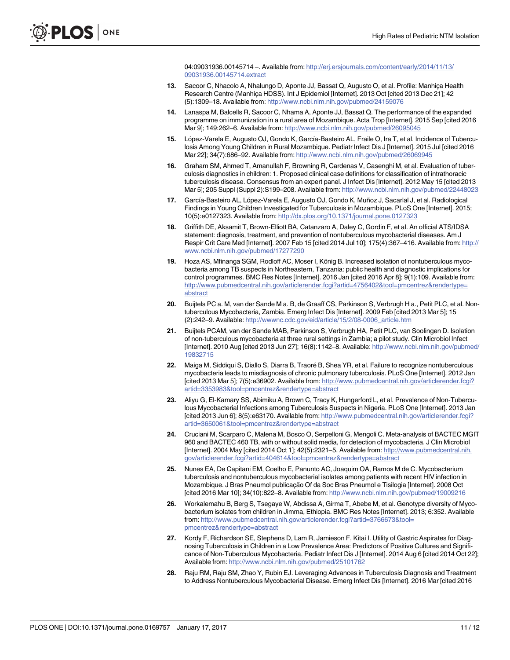04:09031936.00145714 –. Available from: [http://erj.ersjournals.com/content/early/2014/11/13/](http://erj.ersjournals.com/content/early/2014/11/13/09031936.00145714.extract) [09031936.00145714.extract](http://erj.ersjournals.com/content/early/2014/11/13/09031936.00145714.extract)

- <span id="page-10-0"></span>**[13](#page-1-0).** Sacoor C, Nhacolo A, Nhalungo D, Aponte JJ, Bassat Q, Augusto O, et al. Profile: Manhica Health Research Centre (Manhica HDSS). Int J Epidemiol [Internet]. 2013 Oct [cited 2013 Dec 21]; 42 (5):1309–18. Available from: <http://www.ncbi.nlm.nih.gov/pubmed/24159076>
- **[14](#page-1-0).** Lanaspa M, Balcells R, Sacoor C, Nhama A, Aponte JJ, Bassat Q. The performance of the expanded programme on immunization in a rural area of Mozambique. Acta Trop [Internet]. 2015 Sep [cited 2016 Mar 9]; 149:262–6. Available from: <http://www.ncbi.nlm.nih.gov/pubmed/26095045>
- **[15](#page-1-0).** López-Varela E, Augusto OJ, Gondo K, García-Basteiro AL, Fraile O, Ira T, et al. Incidence of Tuberculosis Among Young Children in Rural Mozambique. Pediatr Infect Dis J [Internet]. 2015 Jul [cited 2016 Mar 22]; 34(7):686–92. Available from: <http://www.ncbi.nlm.nih.gov/pubmed/26069945>
- **[16](#page-1-0).** Graham SM, Ahmed T, Amanullah F, Browning R, Cardenas V, Casenghi M, et al. Evaluation of tuberculosis diagnostics in children: 1. Proposed clinical case definitions for classification of intrathoracic tuberculosis disease. Consensus from an expert panel. J Infect Dis [Internet]. 2012 May 15 [cited 2013 Mar 5]; 205 Suppl (Suppl 2):S199–208. Available from: <http://www.ncbi.nlm.nih.gov/pubmed/22448023>
- [17](#page-2-0). García-Basteiro AL, López-Varela E, Augusto OJ, Gondo K, Muñoz J, Sacarlal J, et al. Radiological Findings in Young Children Investigated for Tuberculosis in Mozambique. PLoS One [Internet]. 2015; 10(5):e0127323. Available from: <http://dx.plos.org/10.1371/journal.pone.0127323>
- **[18](#page-4-0).** Griffith DE, Aksamit T, Brown-Elliott BA, Catanzaro A, Daley C, Gordin F, et al. An official ATS/IDSA statement: diagnosis, treatment, and prevention of nontuberculous mycobacterial diseases. Am J Respir Crit Care Med [Internet]. 2007 Feb 15 [cited 2014 Jul 10]; 175(4):367–416. Available from: [http://](http://www.ncbi.nlm.nih.gov/pubmed/17277290) [www.ncbi.nlm.nih.gov/pubmed/17277290](http://www.ncbi.nlm.nih.gov/pubmed/17277290)
- **[19](#page-7-0).** Hoza AS, Mfinanga SGM, Rodloff AC, Moser I, König B. Increased isolation of nontuberculous mycobacteria among TB suspects in Northeastern, Tanzania: public health and diagnostic implications for control programmes. BMC Res Notes [Internet]. 2016 Jan [cited 2016 Apr 8]; 9(1):109. Available from: [http://www.pubmedcentral.nih.gov/articlerender.fcgi?artid=4756402&tool=pmcentrez&rendertype=](http://www.pubmedcentral.nih.gov/articlerender.fcgi?artid=4756402&tool=pmcentrez&rendertype=abstract) [abstract](http://www.pubmedcentral.nih.gov/articlerender.fcgi?artid=4756402&tool=pmcentrez&rendertype=abstract)
- **20.** Buijtels PC a. M, van der Sande M a. B, de Graaff CS, Parkinson S, Verbrugh H a., Petit PLC, et al. Nontuberculous Mycobacteria, Zambia. Emerg Infect Dis [Internet]. 2009 Feb [cited 2013 Mar 5]; 15 (2):242–9. Available: [http://wwwnc.cdc.gov/eid/article/15/2/08-0006\\_article.htm](http://wwwnc.cdc.gov/eid/article/15/2/08-0006_article.htm)
- **21.** Buijtels PCAM, van der Sande MAB, Parkinson S, Verbrugh HA, Petit PLC, van Soolingen D. Isolation of non-tuberculous mycobacteria at three rural settings in Zambia; a pilot study. Clin Microbiol Infect [Internet]. 2010 Aug [cited 2013 Jun 27]; 16(8):1142–8. Available: [http://www.ncbi.nlm.nih.gov/pubmed/](http://www.ncbi.nlm.nih.gov/pubmed/19832715) [19832715](http://www.ncbi.nlm.nih.gov/pubmed/19832715)
- **[22](#page-7-0).** Maiga M, Siddiqui S, Diallo S, Diarra B, Traoré B, Shea YR, et al. Failure to recognize nontuberculous mycobacteria leads to misdiagnosis of chronic pulmonary tuberculosis. PLoS One [Internet]. 2012 Jan [cited 2013 Mar 5]; 7(5):e36902. Available from: [http://www.pubmedcentral.nih.gov/articlerender.fcgi?](http://www.pubmedcentral.nih.gov/articlerender.fcgi?artid=3353983&tool=pmcentrez&rendertype=abstract) [artid=3353983&tool=pmcentrez&rendertype=abstract](http://www.pubmedcentral.nih.gov/articlerender.fcgi?artid=3353983&tool=pmcentrez&rendertype=abstract)
- **[23](#page-7-0).** Aliyu G, El-Kamary SS, Abimiku A, Brown C, Tracy K, Hungerford L, et al. Prevalence of Non-Tuberculous Mycobacterial Infections among Tuberculosis Suspects in Nigeria. PLoS One [Internet]. 2013 Jan [cited 2013 Jun 6]; 8(5):e63170. Available from: [http://www.pubmedcentral.nih.gov/articlerender.fcgi?](http://www.pubmedcentral.nih.gov/articlerender.fcgi?artid=3650061&tool=pmcentrez&rendertype=abstract) [artid=3650061&tool=pmcentrez&rendertype=abstract](http://www.pubmedcentral.nih.gov/articlerender.fcgi?artid=3650061&tool=pmcentrez&rendertype=abstract)
- **[24](#page-7-0).** Cruciani M, Scarparo C, Malena M, Bosco O, Serpelloni G, Mengoli C. Meta-analysis of BACTEC MGIT 960 and BACTEC 460 TB, with or without solid media, for detection of mycobacteria. J Clin Microbiol [Internet]. 2004 May [cited 2014 Oct 1]; 42(5):2321–5. Available from: [http://www.pubmedcentral.nih.](http://www.pubmedcentral.nih.gov/articlerender.fcgi?artid=404614&tool=pmcentrez&rendertype=abstract) [gov/articlerender.fcgi?artid=404614&tool=pmcentrez&rendertype=abstract](http://www.pubmedcentral.nih.gov/articlerender.fcgi?artid=404614&tool=pmcentrez&rendertype=abstract)
- **[25](#page-7-0).** Nunes EA, De Capitani EM, Coelho E, Panunto AC, Joaquim OA, Ramos M de C. Mycobacterium tuberculosis and nontuberculous mycobacterial isolates among patients with recent HIV infection in Mozambique. J Bras Pneumol publicação Of da Soc Bras Pneumol e Tisilogia [Internet]. 2008 Oct [cited 2016 Mar 10]; 34(10):822–8. Available from: <http://www.ncbi.nlm.nih.gov/pubmed/19009216>
- **[26](#page-7-0).** Workalemahu B, Berg S, Tsegaye W, Abdissa A, Girma T, Abebe M, et al. Genotype diversity of Mycobacterium isolates from children in Jimma, Ethiopia. BMC Res Notes [Internet]. 2013; 6:352. Available from: [http://www.pubmedcentral.nih.gov/articlerender.fcgi?artid=3766673&tool=](http://www.pubmedcentral.nih.gov/articlerender.fcgi?artid=3766673&tool=pmcentrez&rendertype=abstract) [pmcentrez&rendertype=abstract](http://www.pubmedcentral.nih.gov/articlerender.fcgi?artid=3766673&tool=pmcentrez&rendertype=abstract)
- **[27](#page-7-0).** Kordy F, Richardson SE, Stephens D, Lam R, Jamieson F, Kitai I. Utility of Gastric Aspirates for Diagnosing Tuberculosis in Children in a Low Prevalence Area: Predictors of Positive Cultures and Significance of Non-Tuberculous Mycobacteria. Pediatr Infect Dis J [Internet]. 2014 Aug 6 [cited 2014 Oct 22]; Available from: <http://www.ncbi.nlm.nih.gov/pubmed/25101762>
- **[28](#page-7-0).** Raju RM, Raju SM, Zhao Y, Rubin EJ. Leveraging Advances in Tuberculosis Diagnosis and Treatment to Address Nontuberculous Mycobacterial Disease. Emerg Infect Dis [Internet]. 2016 Mar [cited 2016